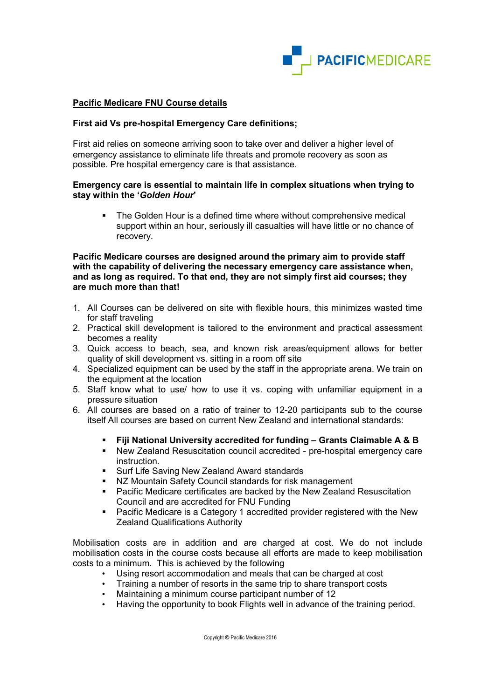

## Pacific Medicare FNU Course details

### First aid Vs pre-hospital Emergency Care definitions;

First aid relies on someone arriving soon to take over and deliver a higher level of emergency assistance to eliminate life threats and promote recovery as soon as possible. Pre hospital emergency care is that assistance.

### Emergency care is essential to maintain life in complex situations when trying to stay within the 'Golden Hour'

 The Golden Hour is a defined time where without comprehensive medical support within an hour, seriously ill casualties will have little or no chance of recovery.

### Pacific Medicare courses are designed around the primary aim to provide staff with the capability of delivering the necessary emergency care assistance when, and as long as required. To that end, they are not simply first aid courses; they are much more than that!

- 1. All Courses can be delivered on site with flexible hours, this minimizes wasted time for staff traveling
- 2. Practical skill development is tailored to the environment and practical assessment becomes a reality
- 3. Quick access to beach, sea, and known risk areas/equipment allows for better quality of skill development vs. sitting in a room off site
- 4. Specialized equipment can be used by the staff in the appropriate arena. We train on the equipment at the location
- 5. Staff know what to use/ how to use it vs. coping with unfamiliar equipment in a pressure situation
- 6. All courses are based on a ratio of trainer to 12-20 participants sub to the course itself All courses are based on current New Zealand and international standards:
	- Fiji National University accredited for funding Grants Claimable A & B
	- New Zealand Resuscitation council accredited pre-hospital emergency care instruction.
	- **Surf Life Saving New Zealand Award standards**
	- NZ Mountain Safety Council standards for risk management
	- Pacific Medicare certificates are backed by the New Zealand Resuscitation Council and are accredited for FNU Funding
	- Pacific Medicare is a Category 1 accredited provider registered with the New Zealand Qualifications Authority

Mobilisation costs are in addition and are charged at cost. We do not include mobilisation costs in the course costs because all efforts are made to keep mobilisation costs to a minimum. This is achieved by the following

- Using resort accommodation and meals that can be charged at cost
- Training a number of resorts in the same trip to share transport costs
- Maintaining a minimum course participant number of 12
- Having the opportunity to book Flights well in advance of the training period.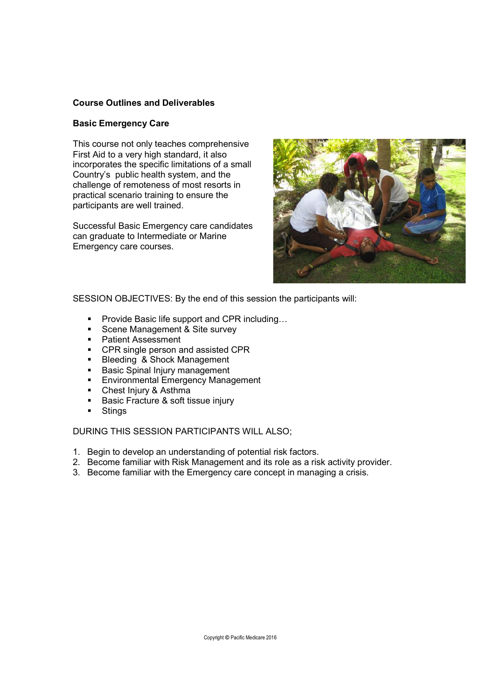# Course Outlines and Deliverables

### Basic Emergency Care

This course not only teaches comprehensive First Aid to a very high standard, it also incorporates the specific limitations of a small Country's public health system, and the challenge of remoteness of most resorts in practical scenario training to ensure the participants are well trained.

Successful Basic Emergency care candidates can graduate to Intermediate or Marine Emergency care courses.



SESSION OBJECTIVES: By the end of this session the participants will:

- Provide Basic life support and CPR including...
- Scene Management & Site survey
- **Patient Assessment**
- **CPR single person and assisted CPR**
- Bleeding & Shock Management
- **Basic Spinal Injury management**
- **Environmental Emergency Management**
- Chest Injury & Asthma
- Basic Fracture & soft tissue injury
- **Stings**

- 1. Begin to develop an understanding of potential risk factors.
- 2. Become familiar with Risk Management and its role as a risk activity provider.
- 3. Become familiar with the Emergency care concept in managing a crisis.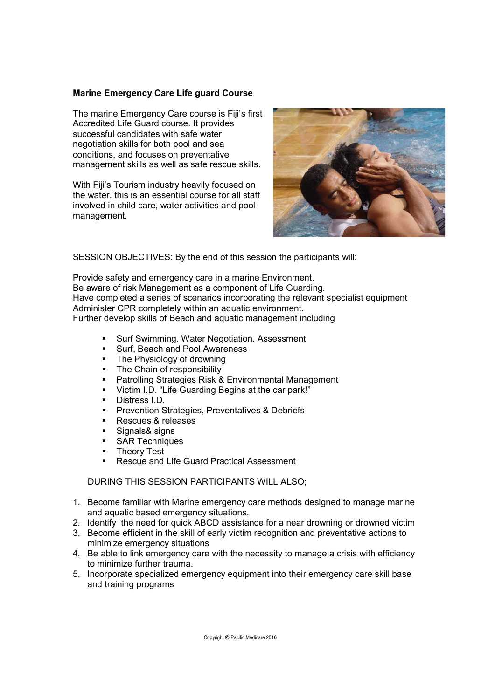# Marine Emergency Care Life guard Course

The marine Emergency Care course is Fiji's first Accredited Life Guard course. It provides successful candidates with safe water negotiation skills for both pool and sea conditions, and focuses on preventative management skills as well as safe rescue skills.

With Fiji's Tourism industry heavily focused on the water, this is an essential course for all staff involved in child care, water activities and pool management.



SESSION OBJECTIVES: By the end of this session the participants will:

Provide safety and emergency care in a marine Environment. Be aware of risk Management as a component of Life Guarding. Have completed a series of scenarios incorporating the relevant specialist equipment Administer CPR completely within an aquatic environment. Further develop skills of Beach and aquatic management including

- Surf Swimming. Water Negotiation. Assessment
- **Surf, Beach and Pool Awareness**<br>The Physiology of drowning
- The Physiology of drowning
- The Chain of responsibility
- Patrolling Strategies Risk & Environmental Management
- Victim I.D. "Life Guarding Begins at the car park!"
- **Distress I.D.**
- **Prevention Strategies, Preventatives & Debriefs**
- **Rescues & releases**
- Signals& signs
- **SAR Techniques**
- **Theory Test**
- Rescue and Life Guard Practical Assessment

- 1. Become familiar with Marine emergency care methods designed to manage marine and aquatic based emergency situations.
- 2. Identify the need for quick ABCD assistance for a near drowning or drowned victim
- 3. Become efficient in the skill of early victim recognition and preventative actions to minimize emergency situations
- 4. Be able to link emergency care with the necessity to manage a crisis with efficiency to minimize further trauma.
- 5. Incorporate specialized emergency equipment into their emergency care skill base and training programs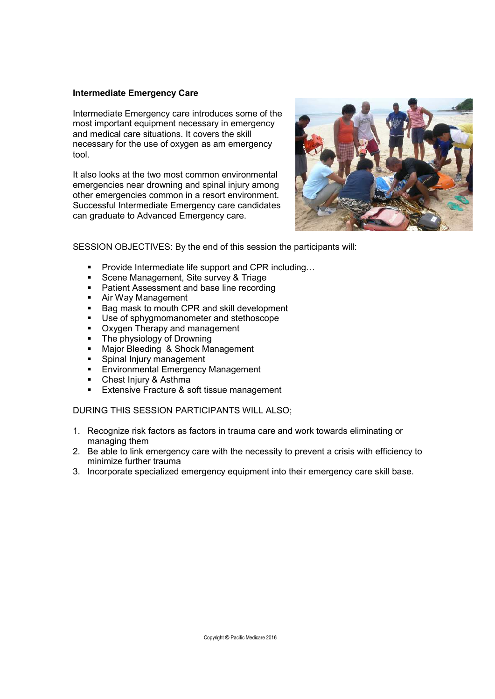## Intermediate Emergency Care

Intermediate Emergency care introduces some of the most important equipment necessary in emergency and medical care situations. It covers the skill necessary for the use of oxygen as am emergency tool.

It also looks at the two most common environmental emergencies near drowning and spinal injury among other emergencies common in a resort environment. Successful Intermediate Emergency care candidates can graduate to Advanced Emergency care.



SESSION OBJECTIVES: By the end of this session the participants will:

- Provide Intermediate life support and CPR including...
- **Scene Management, Site survey & Triage**
- **Patient Assessment and base line recording**
- **Air Way Management**
- Bag mask to mouth CPR and skill development
- **Use of sphygmomanometer and stethoscope**
- Oxygen Therapy and management
- The physiology of Drowning<br>■ Maior Bleeding & Shock Ma
- Major Bleeding & Shock Management
- **Spinal Injury management**
- **Environmental Emergency Management**
- Chest Injury & Asthma
- Extensive Fracture & soft tissue management

- 1. Recognize risk factors as factors in trauma care and work towards eliminating or managing them
- 2. Be able to link emergency care with the necessity to prevent a crisis with efficiency to minimize further trauma
- 3. Incorporate specialized emergency equipment into their emergency care skill base.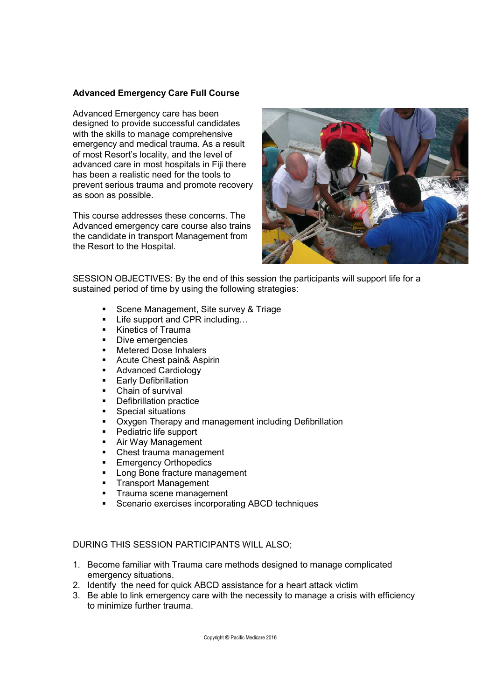## Advanced Emergency Care Full Course

Advanced Emergency care has been designed to provide successful candidates with the skills to manage comprehensive emergency and medical trauma. As a result of most Resort's locality, and the level of advanced care in most hospitals in Fiji there has been a realistic need for the tools to prevent serious trauma and promote recovery as soon as possible.

This course addresses these concerns. The Advanced emergency care course also trains the candidate in transport Management from the Resort to the Hospital.



SESSION OBJECTIVES: By the end of this session the participants will support life for a sustained period of time by using the following strategies:

- **Scene Management, Site survey & Triage**
- Life support and CPR including...
- **Kinetics of Trauma**
- Dive emergencies
- Metered Dose Inhalers<br>■ Acute Chest pain& Asp
- Acute Chest pain& Aspirin
- **Advanced Cardiology**
- **Early Defibrillation**
- **Chain of survival**
- **•** Defibrillation practice
- **Special situations**
- **Oxygen Therapy and management including Defibrillation**
- **Pediatric life support**
- **Air Way Management**
- Chest trauma management
- **Emergency Orthopedics**
- **Long Bone fracture management**
- **Transport Management**
- Trauma scene management
- **Scenario exercises incorporating ABCD techniques**

- 1. Become familiar with Trauma care methods designed to manage complicated emergency situations.
- 2. Identify the need for quick ABCD assistance for a heart attack victim
- 3. Be able to link emergency care with the necessity to manage a crisis with efficiency to minimize further trauma.